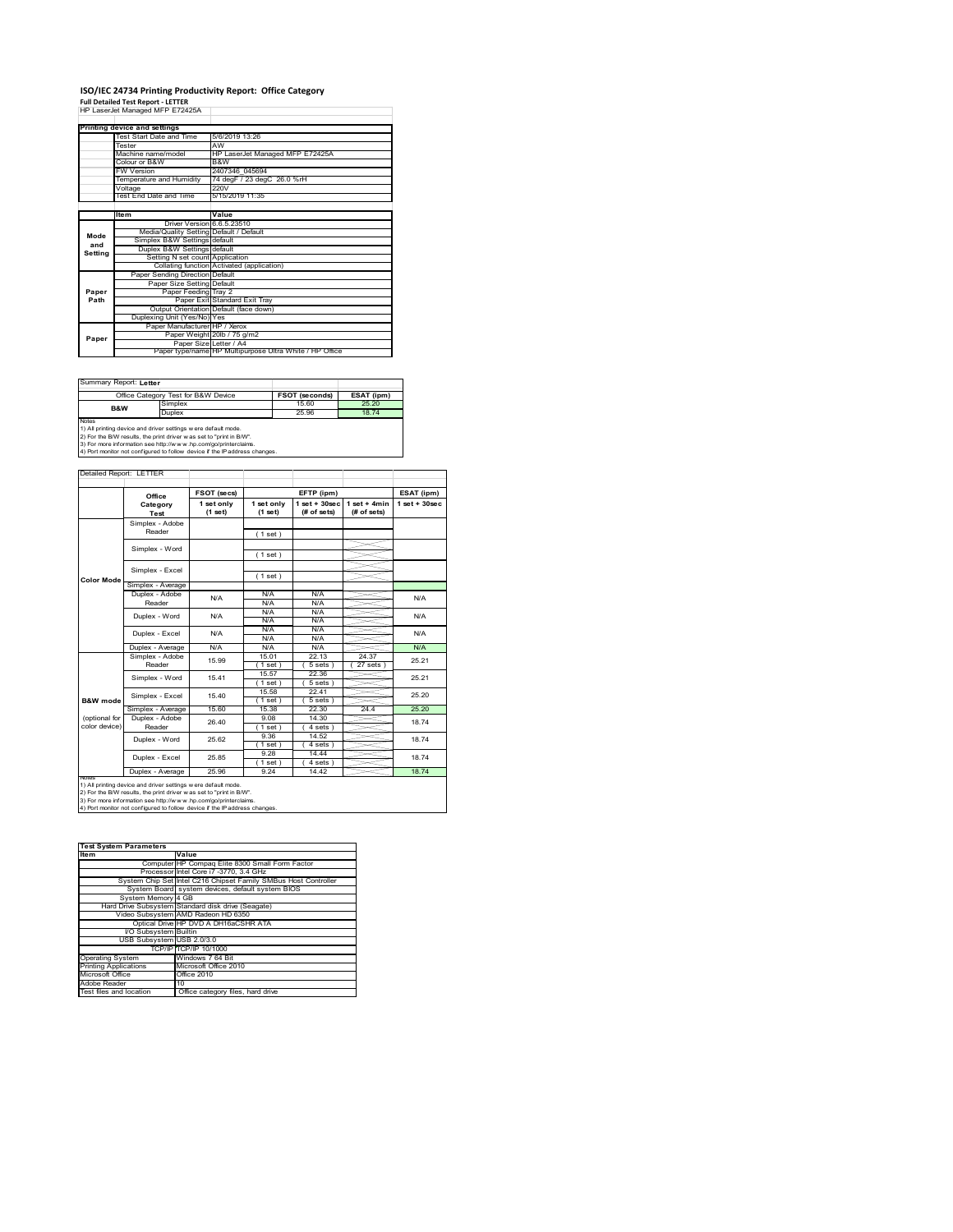# **ISO/IEC 24734 Printing Productivity Report: Office Category<br>Full Detailed Test Report - LETTER<br>HP LaserJet Managed MFP E72425A**

|         | . an betaned Test Report - LETTER       |                                                         |  |  |
|---------|-----------------------------------------|---------------------------------------------------------|--|--|
|         | HP LaserJet Managed MFP E72425A         |                                                         |  |  |
|         |                                         |                                                         |  |  |
|         | Printing device and settings            |                                                         |  |  |
|         | Test Start Date and Time                | 5/6/2019 13:26                                          |  |  |
|         | Tester                                  | AW                                                      |  |  |
|         | Machine name/model                      | HP LaserJet Managed MFP E72425A                         |  |  |
|         | Colour or B&W                           | B&W                                                     |  |  |
|         | <b>FW Version</b>                       | 2407346 045694                                          |  |  |
|         | Temperature and Humidity                | 74 degF / 23 degC 26.0 %rH                              |  |  |
|         | Voltage                                 | 220V                                                    |  |  |
|         | <b>Test End Date and Time</b>           | 5/15/2019 11:35                                         |  |  |
|         |                                         |                                                         |  |  |
|         | <b>Item</b>                             | Value                                                   |  |  |
|         | Driver Version 6.6.5.23510              |                                                         |  |  |
| Mode    | Media/Quality Setting Default / Default |                                                         |  |  |
| and     | Simplex B&W Settings default            |                                                         |  |  |
| Setting | Duplex B&W Settings default             |                                                         |  |  |
|         | Setting N set count Application         |                                                         |  |  |
|         |                                         | Collating function Activated (application)              |  |  |
|         | Paper Sending Direction Default         |                                                         |  |  |
|         | Paper Size Setting Default              |                                                         |  |  |
| Paper   | Paper Feeding Tray 2                    |                                                         |  |  |
| Path    |                                         | Paper Exit Standard Exit Trav                           |  |  |
|         |                                         | Output Orientation Default (face down)                  |  |  |
|         | Duplexing Unit (Yes/No) Yes             |                                                         |  |  |
|         | Paper Manufacturer HP / Xerox           |                                                         |  |  |
| Paper   |                                         | Paper Weight 20lb / 75 g/m2                             |  |  |
|         | Paper Size Letter / A4                  |                                                         |  |  |
|         |                                         | Paper type/name HP Multipurpose Ultra White / HP Office |  |  |

Summary Report: **Letter**

|                                                                     | Office Category Test for B&W Device | <b>FSOT (seconds)</b> | ESAT (ipm) |  |  |  |
|---------------------------------------------------------------------|-------------------------------------|-----------------------|------------|--|--|--|
| B&W                                                                 | Simplex                             | 15.60                 | 25.20      |  |  |  |
|                                                                     | Duplex                              | 25.96                 | 1874       |  |  |  |
| <b>Notes</b>                                                        |                                     |                       |            |  |  |  |
| 1) All printing device and driver settings w ere default mode.      |                                     |                       |            |  |  |  |
| 2) For the B/W results, the print driver was set to "print in B/W". |                                     |                       |            |  |  |  |

2) For the B/W results, the print driver w as set to "print in B/W".<br>3) For more information see http://w w w .hp.com/go/printerclaims.<br>4) Port monitor not configured to follow device if the IP address changes.

Detailed Report: LETTER Τ

|                     | Office            | FSOT (secs) |             | EFTP (ipm)        |                | ESAT (ipm)         |
|---------------------|-------------------|-------------|-------------|-------------------|----------------|--------------------|
|                     | Category          | 1 set only  | 1 set only  | $1$ set $+30$ sec | $1$ set + 4min | $1$ set + $30$ sec |
|                     | Test              | (1 set)     | (1 set)     | (# of sets)       | (# of sets)    |                    |
|                     | Simplex - Adobe   |             |             |                   |                |                    |
|                     | Reader            |             | (1 set)     |                   |                |                    |
|                     | Simplex - Word    |             |             |                   |                |                    |
|                     |                   |             | (1 set)     |                   |                |                    |
|                     | Simplex - Excel   |             |             |                   |                |                    |
| <b>Color Mode</b>   |                   |             | (1 set)     |                   |                |                    |
|                     | Simplex - Average |             |             |                   |                |                    |
|                     | Duplex - Adobe    | N/A         | N/A         | N/A               |                | N/A                |
|                     | Reader            |             | N/A         | N/A               |                |                    |
|                     | Duplex - Word     | N/A         | N/A         | N/A               |                | N/A                |
|                     |                   |             | N/A         | N/A               |                |                    |
|                     | Duplex - Excel    | N/A         | N/A         | N/A               |                | N/A                |
|                     |                   |             | N/A         | N/A               |                |                    |
|                     | Duplex - Average  | N/A         | N/A         | N/A               |                | N/A                |
|                     | Simplex - Adobe   | 15 99       | 15.01       | 22.13             | 24.37          | 25 21              |
|                     | Reader            |             | (1 set)     | 5 sets)           | $27$ sets $)$  |                    |
|                     | Simplex - Word    | 1541        | 15.57       | 22.36             |                | 25 21              |
|                     |                   |             | $1$ set)    | $5 sets$ )        |                |                    |
|                     | Simplex - Excel   | 15 40       | 15.58       | 22 41             |                | 25.20              |
| <b>B&amp;W</b> mode |                   |             | $'1$ set)   | $5 sets$ )        |                |                    |
|                     | Simplex - Average | 15.60       | 15.38       | 22.30             | 24.4           | 25.20              |
| (optional for       | Duplex - Adobe    | 26.40       | 9.08        | 14 30             |                | 1874               |
| color device)       | Reader            |             | $1$ set)    | 4 sets)           |                |                    |
|                     | Duplex - Word     | 25.62       | 9.36        | 14.52             |                | 1874               |
|                     |                   |             | $1$ set $)$ | 4 sets)           |                |                    |
|                     | Duplex - Excel    | 25.85       | 9.28        | 14.44             |                | 1874               |
|                     |                   |             | $1$ set)    | $4 sets$ )        |                |                    |
| <b>NOtes</b>        | Duplex - Average  | 25.96       | 9.24        | 14.42             |                | 18.74              |

1) All printing device and driver settings were default mode.<br>2) For the B/W results, the print driver was set to "print in B/W".<br>3) For more information see http://www.hp.com/go/printerclaims.<br>4) Port monitor not configur

| <b>Test System Parameters</b> |                                                                 |  |  |  |  |
|-------------------------------|-----------------------------------------------------------------|--|--|--|--|
| <b>Item</b>                   | Value                                                           |  |  |  |  |
|                               | Computer HP Compaq Elite 8300 Small Form Factor                 |  |  |  |  |
|                               | Processor Intel Core i7 -3770, 3.4 GHz                          |  |  |  |  |
|                               | System Chip Set Intel C216 Chipset Family SMBus Host Controller |  |  |  |  |
|                               | System Board system devices, default system BIOS                |  |  |  |  |
| System Memory 4 GB            |                                                                 |  |  |  |  |
|                               | Hard Drive Subsystem Standard disk drive (Seagate)              |  |  |  |  |
|                               | Video Subsystem AMD Radeon HD 6350                              |  |  |  |  |
|                               | Optical Drive HP DVD A DH16aCSHR ATA                            |  |  |  |  |
| I/O Subsystem Builtin         |                                                                 |  |  |  |  |
| USB Subsystem USB 2.0/3.0     |                                                                 |  |  |  |  |
|                               | TCP/IP TCP/IP 10/1000                                           |  |  |  |  |
| <b>Operating System</b>       | Windows 7 64 Bit                                                |  |  |  |  |
| <b>Printing Applications</b>  | Microsoft Office 2010                                           |  |  |  |  |
| Microsoft Office              | Office 2010                                                     |  |  |  |  |
| Adobe Reader                  | 10                                                              |  |  |  |  |
| Test files and location       | Office category files, hard drive                               |  |  |  |  |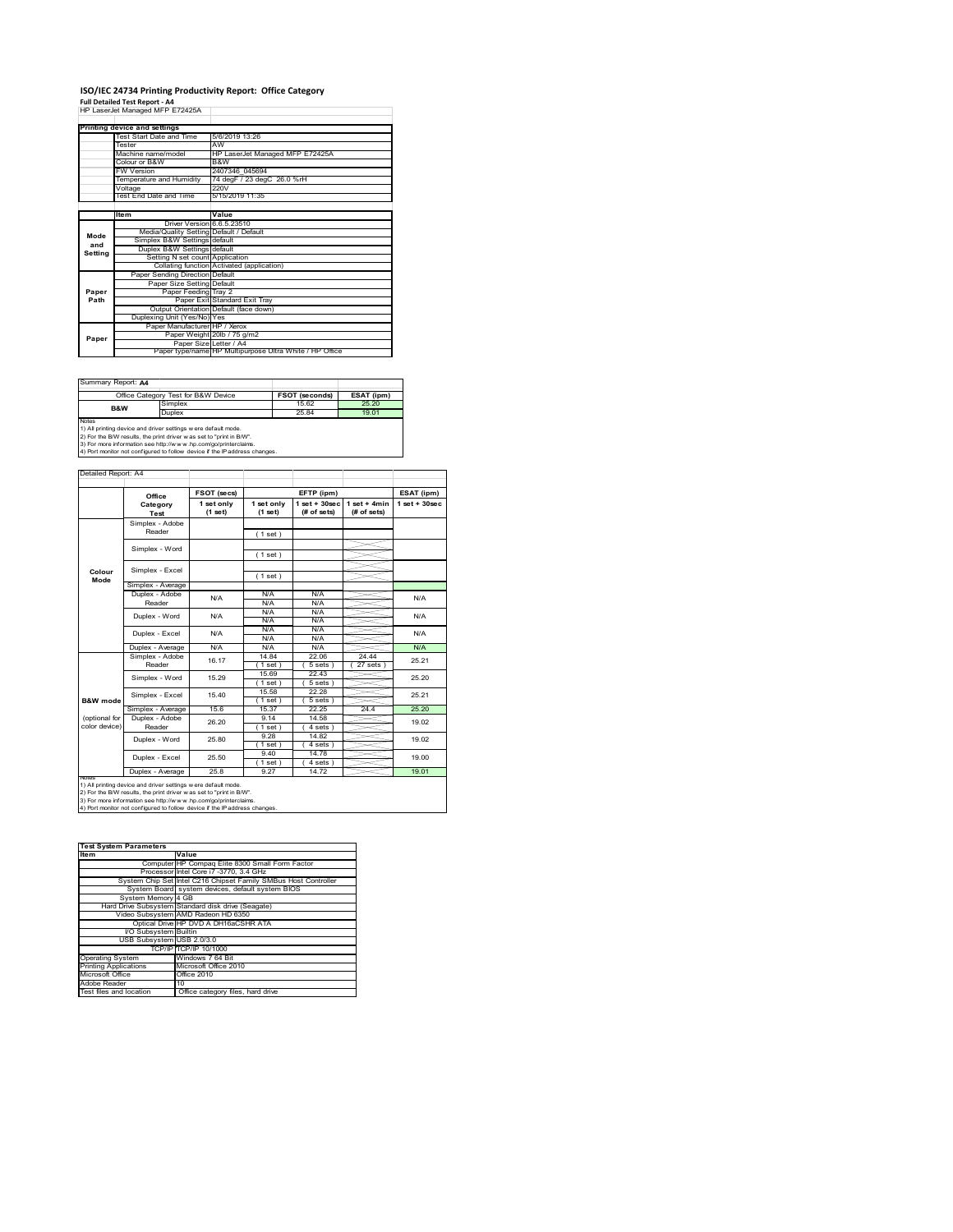# **ISO/IEC 24734 Printing Productivity Report: Office Category**

**Full Detailed Test Report ‐ A4** HP LaserJet Managed MFP E72425A

|         | HP LaserJet Managed MFP E72425A         |                                                         |
|---------|-----------------------------------------|---------------------------------------------------------|
|         |                                         |                                                         |
|         | Printing device and settings            |                                                         |
|         | Test Start Date and Time                | 5/6/2019 13:26                                          |
|         | Tester                                  | AW                                                      |
|         | Machine name/model                      | HP LaserJet Managed MFP E72425A                         |
|         | Colour or B&W                           | B&W                                                     |
|         | <b>FW Version</b>                       | 2407346 045694                                          |
|         | Temperature and Humidity                | 74 degF / 23 degC 26.0 %rH                              |
|         | Voltage                                 | 220V                                                    |
|         | Test End Date and Time                  | 5/15/2019 11:35                                         |
|         |                                         |                                                         |
|         | Item                                    | Value                                                   |
|         | Driver Version 6.6.5.23510              |                                                         |
| Mode    | Media/Quality Setting Default / Default |                                                         |
| and     | Simplex B&W Settings default            |                                                         |
| Setting | Duplex B&W Settings default             |                                                         |
|         |                                         |                                                         |
|         | Setting N set count Application         |                                                         |
|         |                                         | Collating function Activated (application)              |
|         | Paper Sending Direction Default         |                                                         |
|         | Paper Size Setting Default              |                                                         |
| Paper   | Paper Feeding Tray 2                    |                                                         |
| Path    |                                         | Paper Exit Standard Exit Tray                           |
|         |                                         | Output Orientation Default (face down)                  |
|         | Duplexing Unit (Yes/No) Yes             |                                                         |
|         | Paper Manufacturer HP / Xerox           |                                                         |
|         |                                         | Paper Weight 20lb / 75 g/m2                             |
| Paper   | Paper Size Letter / A4                  | Paper type/name HP Multipurpose Ultra White / HP Office |

Summary Report: **A4**

|                                                                | Office Category Test for B&W Device                               | <b>FSOT (seconds)</b> | ESAT (ipm) |  |  |  |
|----------------------------------------------------------------|-------------------------------------------------------------------|-----------------------|------------|--|--|--|
| B&W                                                            | Simplex                                                           | 15.62                 | 25.20      |  |  |  |
|                                                                | Duplex                                                            | 25.84                 | 19.01      |  |  |  |
| Notes                                                          |                                                                   |                       |            |  |  |  |
| 1) All printing device and driver settings w ere default mode. |                                                                   |                       |            |  |  |  |
|                                                                | 2) For the BAV results the print driver was set to "print in BAV" |                       |            |  |  |  |

2) For the B/W results, the print driver w as set to "print in B/W".<br>3) For more information see http://w w w .hp.com/go/printerclaims.<br>4) Port monitor not configured to follow device if the IP address changes.

Detailed Report: A4

|                     | Office            | FSOT (secs)           |                       | EFTP (ipm)                       |                                | ESAT (ipm)         |
|---------------------|-------------------|-----------------------|-----------------------|----------------------------------|--------------------------------|--------------------|
|                     | Category<br>Test  | 1 set only<br>(1 set) | 1 set only<br>(1 set) | $1$ set $+30$ sec<br>(# of sets) | $1 set + 4 min$<br>(# of sets) | $1$ set + $30$ sec |
|                     | Simplex - Adobe   |                       |                       |                                  |                                |                    |
|                     | Reader            |                       | (1 set)               |                                  |                                |                    |
|                     | Simplex - Word    |                       |                       |                                  |                                |                    |
|                     |                   |                       | (1 set)               |                                  |                                |                    |
|                     | Simplex - Excel   |                       |                       |                                  |                                |                    |
| Colour<br>Mode      |                   |                       | (1 set)               |                                  |                                |                    |
|                     | Simplex - Average |                       |                       |                                  |                                |                    |
|                     | Duplex - Adobe    | N/A                   | N/A                   | N/A                              |                                | N/A                |
|                     | Reader            |                       | N/A                   | N/A                              |                                |                    |
|                     | Duplex - Word     | N/A                   | N/A                   | N/A                              |                                | N/A                |
|                     |                   |                       | N/A                   | N/A                              |                                |                    |
|                     | Duplex - Excel    | N/A                   | N/A                   | N/A                              |                                | N/A                |
|                     |                   |                       | N/A                   | N/A                              |                                |                    |
|                     | Duplex - Average  | N/A                   | N/A                   | N/A                              |                                | N/A                |
|                     | Simplex - Adobe   | 16.17                 | 14.84                 | 22.06                            | 24.44                          | 25.21              |
|                     | Reader            |                       | $1$ set)              | 5 sets                           | $27$ sets $)$                  |                    |
|                     | Simplex - Word    | 15.29                 | 15.69                 | 22 43                            |                                | 25.20              |
|                     |                   |                       | $1$ set)              | 5 sets)                          |                                |                    |
|                     | Simplex - Excel   | 15.40                 | 15.58                 | 22.28                            |                                | 25.21              |
| <b>B&amp;W</b> mode |                   |                       | $1$ set)              | 5 sets                           |                                |                    |
|                     | Simplex - Average | 15.6                  | 15.37                 | 22.25                            | 24.4                           | 25.20              |
| (optional for       | Duplex - Adobe    | 26.20                 | 9.14                  | 14.58                            |                                | 19.02              |
| color device)       | Reader            |                       | $1$ set)              | 4 sets)                          |                                |                    |
|                     | Duplex - Word     | 25.80                 | 9 28                  | 1482                             |                                | 19.02              |
|                     |                   |                       | $1$ set)              | 4 sets)                          |                                |                    |
|                     | Duplex - Excel    | 25.50                 | 9.40                  | 14.78                            |                                | 19.00              |
|                     |                   |                       | $1$ set)              | $4 sets$ )                       |                                |                    |
|                     | Duplex - Average  | 25.8                  | 9.27                  | 14.72                            |                                | 19.01              |

1) All printing device and driver settings were default mode.<br>2) For the B/W results, the print driver was set to "print in B/W".<br>3) For more information see http://www.hp.com/go/printerclaims.<br>4) Port monitor not configur

| <b>Test System Parameters</b> |                                                                 |  |  |
|-------------------------------|-----------------------------------------------------------------|--|--|
| <b>Item</b>                   | Value                                                           |  |  |
|                               | Computer HP Compaq Elite 8300 Small Form Factor                 |  |  |
|                               | Processor Intel Core i7 -3770, 3.4 GHz                          |  |  |
|                               | System Chip Set Intel C216 Chipset Family SMBus Host Controller |  |  |
|                               | System Board system devices, default system BIOS                |  |  |
| System Memory 4 GB            |                                                                 |  |  |
|                               | Hard Drive Subsystem Standard disk drive (Seagate)              |  |  |
|                               | Video Subsystem AMD Radeon HD 6350                              |  |  |
|                               | Optical Drive HP DVD A DH16aCSHR ATA                            |  |  |
| I/O Subsystem Builtin         |                                                                 |  |  |
| USB Subsystem USB 2.0/3.0     |                                                                 |  |  |
|                               | TCP/IP TCP/IP 10/1000                                           |  |  |
| <b>Operating System</b>       | Windows 7 64 Bit                                                |  |  |
| <b>Printing Applications</b>  | Microsoft Office 2010                                           |  |  |
| Microsoft Office              | Office 2010                                                     |  |  |
| Adobe Reader                  | 10                                                              |  |  |
| Test files and location       | Office category files, hard drive                               |  |  |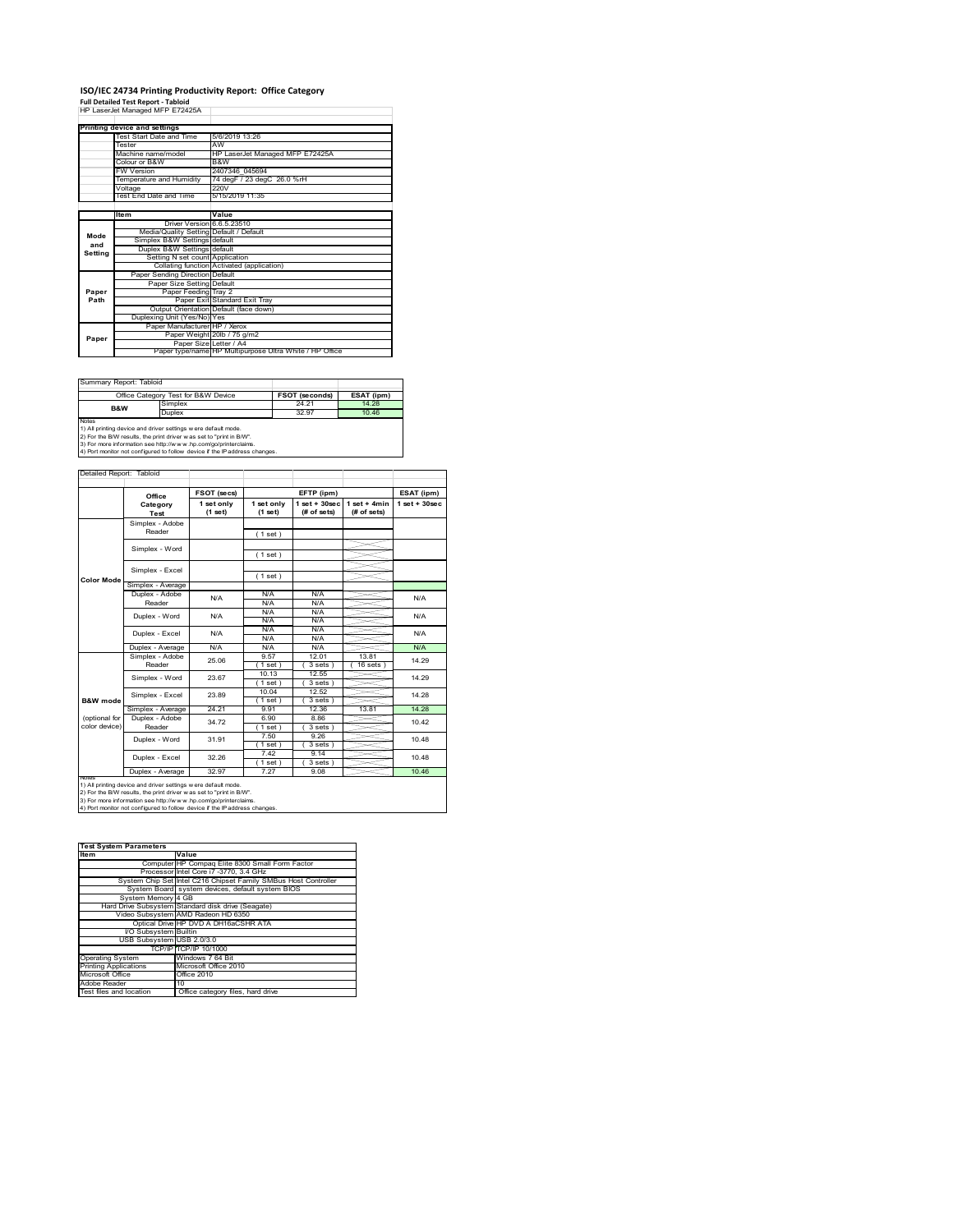# **ISO/IEC 24734 Printing Productivity Report: Office Category<br>Full Detailed Test Report - Tabloid<br>HP LaserJet Managed MFP E72425A**

|         | . an betaned Test Report - Tabloid      |                                                         |  |  |
|---------|-----------------------------------------|---------------------------------------------------------|--|--|
|         | HP LaserJet Managed MFP E72425A         |                                                         |  |  |
|         |                                         |                                                         |  |  |
|         | Printing device and settings            |                                                         |  |  |
|         | Test Start Date and Time                | 5/6/2019 13:26                                          |  |  |
|         | Tester                                  | AW                                                      |  |  |
|         | Machine name/model                      | HP LaserJet Managed MFP E72425A                         |  |  |
|         | Colour or B&W                           | B&W                                                     |  |  |
|         | <b>FW Version</b>                       | 2407346 045694                                          |  |  |
|         | Temperature and Humidity                | 74 degF / 23 degC 26.0 %rH                              |  |  |
|         | Voltage                                 | 220V                                                    |  |  |
|         | <b>Test End Date and Time</b>           | 5/15/2019 11:35                                         |  |  |
|         |                                         |                                                         |  |  |
|         | <b>Item</b>                             | Value                                                   |  |  |
|         | Driver Version 6.6.5.23510              |                                                         |  |  |
| Mode    | Media/Quality Setting Default / Default |                                                         |  |  |
| and     | Simplex B&W Settings default            |                                                         |  |  |
| Setting | Duplex B&W Settings default             |                                                         |  |  |
|         | Setting N set count Application         |                                                         |  |  |
|         |                                         | Collating function Activated (application)              |  |  |
|         | Paper Sending Direction Default         |                                                         |  |  |
|         | Paper Size Setting Default              |                                                         |  |  |
| Paper   | Paper Feeding Tray 2                    |                                                         |  |  |
| Path    |                                         | Paper Exit Standard Exit Trav                           |  |  |
|         |                                         | Output Orientation Default (face down)                  |  |  |
|         | Duplexing Unit (Yes/No) Yes             |                                                         |  |  |
|         | Paper Manufacturer HP / Xerox           |                                                         |  |  |
| Paper   |                                         | Paper Weight 20lb / 75 g/m2                             |  |  |
|         | Paper Size Letter / A4                  |                                                         |  |  |
|         |                                         | Paper type/name HP Multipurpose Ultra White / HP Office |  |  |

Summary Report: Tabloid

|                                                                      | Office Category Test for B&W Device | <b>FSOT (seconds)</b> | ESAT (ipm) |  |  |
|----------------------------------------------------------------------|-------------------------------------|-----------------------|------------|--|--|
| B&W                                                                  | Simplex                             | 24 21                 | 14 28      |  |  |
|                                                                      | Duplex                              | 32.97                 | 1046       |  |  |
| <b>Notes</b>                                                         |                                     |                       |            |  |  |
| 1) All printing device and driver settings w ere default mode.       |                                     |                       |            |  |  |
| [2) For the B/W results, the print driver was set to "print in B/W". |                                     |                       |            |  |  |

 $\overline{a}$ 

2) For the B/W results, the print driver w as set to "print in B/W".<br>3) For more information see http://w w w .hp.com/go/printerclaims.<br>4) Port monitor not configured to follow device if the IP address changes.

|                     | Office                                                         | FSOT (secs)           |                       | EFTP (ipm)                       |                               | ESAT (ipm)         |
|---------------------|----------------------------------------------------------------|-----------------------|-----------------------|----------------------------------|-------------------------------|--------------------|
|                     | Category<br>Test                                               | 1 set only<br>(1 set) | 1 set only<br>(1 set) | $1$ set $+30$ sec<br>(# of sets) | $1$ set + 4min<br>(# of sets) | $1$ set + $30$ sec |
|                     | Simplex - Adobe                                                |                       |                       |                                  |                               |                    |
|                     | Reader                                                         |                       | (1 set)               |                                  |                               |                    |
|                     | Simplex - Word                                                 |                       |                       |                                  |                               |                    |
|                     |                                                                |                       | (1 set)               |                                  |                               |                    |
|                     | Simplex - Excel                                                |                       |                       |                                  |                               |                    |
| <b>Color Mode</b>   |                                                                |                       | (1 set)               |                                  |                               |                    |
|                     | Simplex - Average                                              |                       |                       |                                  |                               |                    |
|                     | Duplex - Adobe                                                 | N/A                   | N/A                   | N/A                              |                               | N/A                |
|                     | Reader                                                         |                       | N/A                   | N/A                              |                               |                    |
|                     | Duplex - Word                                                  | N/A                   | N/A                   | N/A                              |                               | N/A                |
|                     |                                                                |                       | N/A                   | N/A                              |                               |                    |
|                     | Duplex - Excel                                                 | N/A                   | N/A                   | N/A                              |                               | N/A                |
|                     |                                                                |                       | N/A                   | N/A                              |                               |                    |
|                     | Duplex - Average                                               | N/A                   | N/A                   | N/A                              |                               | N/A                |
|                     | Simplex - Adobe                                                | 25.06                 | 9.57                  | 12.01                            | 1381                          | 14.29<br>14.29     |
|                     | Reader                                                         |                       | (1 set)               | 3 sets                           | $16$ sets $)$                 |                    |
|                     | Simplex - Word                                                 | 23.67                 | 10.13                 | 12.55                            |                               |                    |
|                     |                                                                |                       | $1$ set)              | 3 sets)                          |                               |                    |
|                     | Simplex - Excel                                                | 23.89                 | 10.04                 | 12.52                            |                               | 14 28              |
| <b>B&amp;W</b> mode |                                                                |                       | $1$ set)              | 3 sets                           |                               |                    |
|                     | Simplex - Average                                              | 24.21                 | 9.91                  | 12.36                            | 13.81                         | 14.28              |
| (optional for       | Duplex - Adobe                                                 | 34 72                 | 6.90                  | 8.86                             |                               | 10.42              |
| color device)       | Reader                                                         |                       | $1$ set $)$           | $3 sets$ )                       |                               |                    |
|                     | Duplex - Word                                                  | 31.91                 | 7.50                  | 9.26                             |                               | 10.48              |
|                     |                                                                |                       | $1$ set)              | 3 sets)                          |                               |                    |
|                     | Duplex - Excel                                                 | 32.26                 | 7.42                  | 9.14                             |                               | 10.48              |
|                     |                                                                |                       | $1$ set)              | 3 sets)                          |                               |                    |
|                     | Duplex - Average                                               | 32.97                 | 7.27                  | 9.08                             |                               | 10.46              |
| <b>NOIRS</b>        | 1) All printing device and driver settings w ere default mode. |                       |                       |                                  |                               |                    |

1) All printing device and driver settings were default mode.<br>2) For the B/W results, the print driver was set to "print in B/W".<br>3) For more information see http://www.hp.com/go/printerclaims.<br>4) Port monitor not configur

| <b>Test System Parameters</b> |                                                                 |  |  |
|-------------------------------|-----------------------------------------------------------------|--|--|
| <b>Item</b>                   | Value                                                           |  |  |
|                               | Computer HP Compaq Elite 8300 Small Form Factor                 |  |  |
|                               | Processor Intel Core i7 -3770, 3.4 GHz                          |  |  |
|                               | System Chip Set Intel C216 Chipset Family SMBus Host Controller |  |  |
|                               | System Board system devices, default system BIOS                |  |  |
| System Memory 4 GB            |                                                                 |  |  |
|                               | Hard Drive Subsystem Standard disk drive (Seagate)              |  |  |
|                               | Video Subsystem AMD Radeon HD 6350                              |  |  |
|                               | Optical Drive HP DVD A DH16aCSHR ATA                            |  |  |
| VO Subsystem Builtin          |                                                                 |  |  |
| USB Subsystem USB 2.0/3.0     |                                                                 |  |  |
|                               | TCP/IP TCP/IP 10/1000                                           |  |  |
| <b>Operating System</b>       | Windows 7 64 Bit                                                |  |  |
| <b>Printing Applications</b>  | Microsoft Office 2010                                           |  |  |
| Microsoft Office              | Office 2010                                                     |  |  |
| Adobe Reader                  | 10                                                              |  |  |
| Test files and location       | Office category files, hard drive                               |  |  |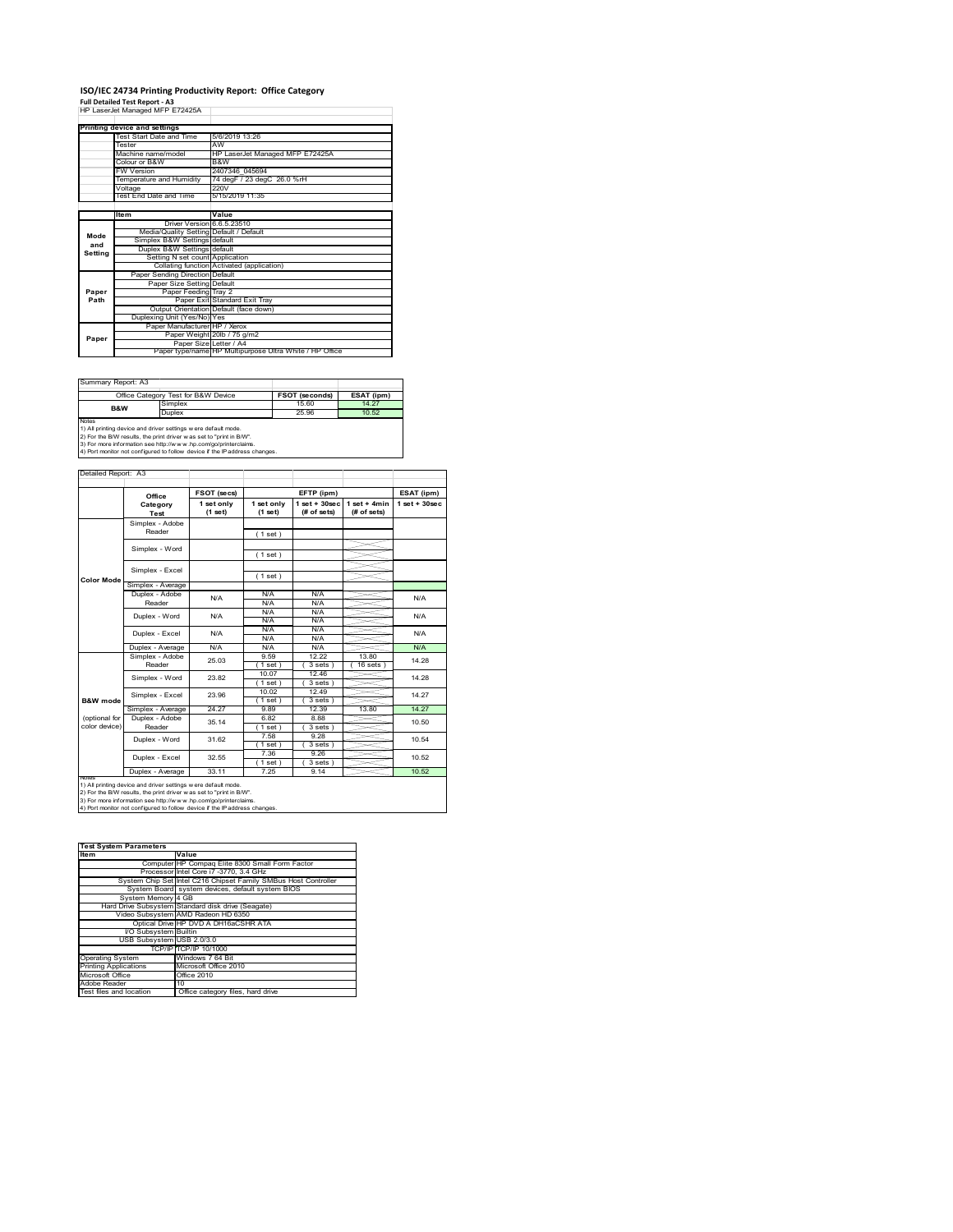### **ISO/IEC 24734 Printing Productivity Report: Office Category Full Detailed Test Report ‐ A3** HP LaserJet Managed MFP E72425A

|         | capaigo, managog m c.c.co.              |                                                         |
|---------|-----------------------------------------|---------------------------------------------------------|
|         | Printing device and settings            |                                                         |
|         | Test Start Date and Time                | 5/6/2019 13:26                                          |
|         | Tester                                  | AW                                                      |
|         | Machine name/model                      | HP LaserJet Managed MFP E72425A                         |
|         | Colour or B&W                           | B&W                                                     |
|         | <b>FW Version</b>                       | 2407346 045694                                          |
|         | Temperature and Humidity                | 74 degF / 23 degC 26.0 %rH                              |
|         | Voltage                                 | 220V                                                    |
|         | Test End Date and Time                  | 5/15/2019 11:35                                         |
|         |                                         |                                                         |
|         | ltem                                    | Value                                                   |
|         | Driver Version 6.6.5.23510              |                                                         |
| Mode    | Media/Quality Setting Default / Default |                                                         |
| and     | Simplex B&W Settings default            |                                                         |
| Setting | Duplex B&W Settings default             |                                                         |
|         | Setting N set count Application         |                                                         |
|         |                                         | Collating function Activated (application)              |
|         | Paper Sending Direction Default         |                                                         |
|         | Paper Size Setting Default              |                                                         |
| Paper   | Paper Feeding Tray 2                    |                                                         |
| Path    |                                         | Paper Exit Standard Exit Tray                           |
|         |                                         | Output Orientation Default (face down)                  |
|         | Duplexing Unit (Yes/No) Yes             |                                                         |
|         | Paper Manufacturer HP / Xerox           |                                                         |
| Paper   |                                         | Paper Weight 20lb / 75 g/m2                             |
|         | Paper Size Letter / A4                  |                                                         |
|         |                                         | Paper type/name HP Multipurpose Ultra White / HP Office |

Summary Report: A3

|       | Office Category Test for B&W Device                               | <b>FSOT (seconds)</b> | ESAT (ipm) |  |  |  |  |
|-------|-------------------------------------------------------------------|-----------------------|------------|--|--|--|--|
| B&W   | Simplex                                                           | 15.60                 | 14 27      |  |  |  |  |
|       | Duplex                                                            | 25.96                 | 10.52      |  |  |  |  |
| Notes |                                                                   |                       |            |  |  |  |  |
|       | 1) All printing device and driver settings w ere default mode.    |                       |            |  |  |  |  |
|       | 2) For the RAM results the print driver was set to "print in RAM" |                       |            |  |  |  |  |

 $\overline{\phantom{0}}$ 

2) For the B/W results, the print driver w as set to "print in B/W".<br>3) For more information see http://w w w .hp.com/go/printerclaims.<br>4) Port monitor not configured to follow device if the IP address changes.

|                   | Office            | FSOT (secs)             |                       | EFTP (ipm)                      |                               | ESAT (ipm)        |
|-------------------|-------------------|-------------------------|-----------------------|---------------------------------|-------------------------------|-------------------|
|                   | Category<br>Test  | 1 set only<br>$(1$ set) | 1 set only<br>(1 set) | $1 set + 30 sec$<br>(# of sets) | $1$ set + 4min<br>(# of sets) | $1$ set $+30$ sec |
|                   | Simplex - Adobe   |                         |                       |                                 |                               |                   |
|                   | Reader            |                         | (1 set)               |                                 |                               |                   |
|                   | Simplex - Word    |                         |                       |                                 |                               |                   |
|                   |                   |                         | (1 set)               |                                 |                               |                   |
|                   | Simplex - Excel   |                         |                       |                                 |                               |                   |
| <b>Color Mode</b> |                   |                         | (1 set)               |                                 |                               |                   |
|                   | Simplex - Average |                         |                       |                                 |                               |                   |
|                   | Duplex - Adobe    | N/A                     | N/A                   | N/A                             |                               | N/A               |
|                   | Reader            |                         | N/A                   | N/A                             |                               |                   |
|                   | Duplex - Word     | N/A                     | N/A                   | N/A                             |                               | N/A               |
|                   |                   |                         | N/A                   | N/A                             |                               |                   |
|                   | Duplex - Excel    | N/A                     | N/A                   | N/A                             |                               | N/A               |
|                   |                   |                         | N/A                   | N/A                             |                               |                   |
|                   | Duplex - Average  | N/A                     | N/A                   | N/A                             |                               | N/A               |
|                   | Simplex - Adobe   | 25.03                   | 9.59                  | 12 22                           | 13.80                         | 14.28             |
|                   | Reader            |                         | 1 set                 | 3 sets                          | 16 sets                       |                   |
|                   | Simplex - Word    | 23.82                   | 10.07                 | 12.46                           |                               | 14.28             |
|                   |                   |                         | 1 set                 | 3 sets )                        |                               |                   |
|                   | Simplex - Excel   | 23.96                   | 10.02                 | 12.49                           |                               | 14 27             |
| B&W mode          |                   |                         | 1 set                 | 3 sets)                         |                               |                   |
|                   | Simplex - Average | 24 27                   | 989                   | 12.39                           | 13.80                         | 14 27             |
| (optional for     | Duplex - Adobe    | 35.14                   | 6.82                  | 8.88                            |                               | 10.50             |
| color device)     | Reader            |                         | $1$ set $)$           | $3 sets$ )                      |                               |                   |
|                   | Duplex - Word     | 31.62                   | 7.58                  | 9.28                            |                               | 10.54             |
|                   |                   |                         | (1 set)               | $3 sets$ )                      |                               |                   |
|                   | Duplex - Excel    | 32.55                   | 7.36                  | 9.26                            |                               | 10.52             |
|                   |                   |                         | 1 set                 | 3 sets                          |                               |                   |
|                   | Duplex - Average  | 33.11                   | 7.25                  | 9.14                            |                               | 10.52             |

| <b>Test System Parameters</b> |                                                                 |
|-------------------------------|-----------------------------------------------------------------|
| <b>Item</b>                   | Value                                                           |
|                               | Computer HP Compaq Elite 8300 Small Form Factor                 |
|                               | Processor Intel Core i7 -3770, 3.4 GHz                          |
|                               | System Chip Set Intel C216 Chipset Family SMBus Host Controller |
|                               | System Board system devices, default system BIOS                |
| System Memory 4 GB            |                                                                 |
|                               | Hard Drive Subsystem Standard disk drive (Seagate)              |
|                               | Video Subsystem AMD Radeon HD 6350                              |
|                               | Optical Drive HP DVD A DH16aCSHR ATA                            |
| I/O Subsystem Builtin         |                                                                 |
| USB Subsystem USB 2.0/3.0     |                                                                 |
|                               | TCP/IP TCP/IP 10/1000                                           |
| <b>Operating System</b>       | Windows 7 64 Bit                                                |
| <b>Printing Applications</b>  | Microsoft Office 2010                                           |
| Microsoft Office              | Office 2010                                                     |
| Adobe Reader                  | 10                                                              |
| Test files and location       | Office category files, hard drive                               |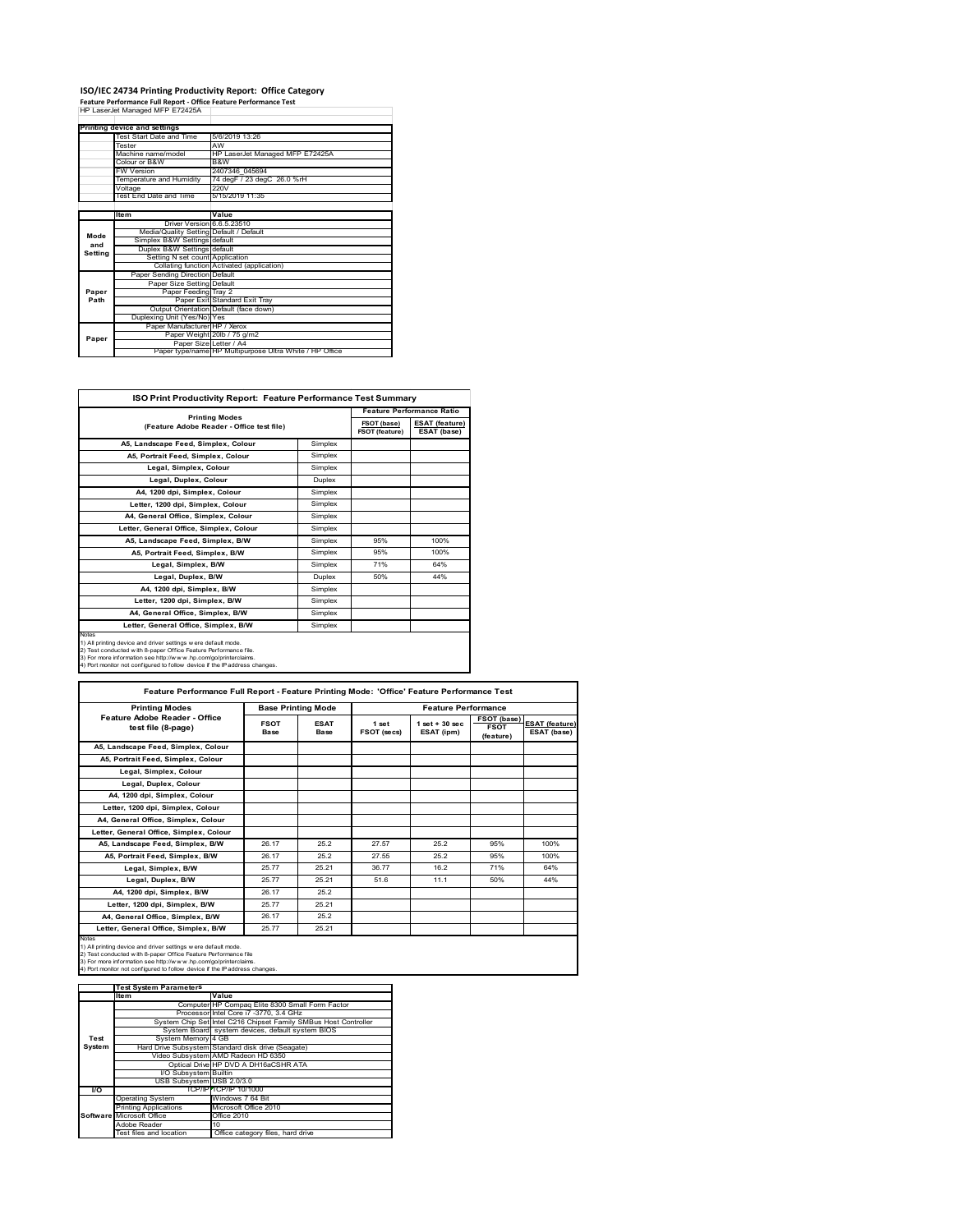### **ISO/IEC 24734 Printing Productivity Report: Office Category**

**Feature Performance Full Report ‐ Office Feature Performance Test** HP LaserJet Managed MFP E72425A

|         | Printing device and settings            |                                                         |  |  |  |
|---------|-----------------------------------------|---------------------------------------------------------|--|--|--|
|         | Test Start Date and Time                | 5/6/2019 13:26                                          |  |  |  |
|         | Tester                                  | AW                                                      |  |  |  |
|         | Machine name/model                      | HP LaserJet Managed MFP E72425A                         |  |  |  |
|         | Colour or B&W                           | B&W                                                     |  |  |  |
|         | <b>FW Version</b>                       | 2407346 045694                                          |  |  |  |
|         | Temperature and Humidity                | 74 degF / 23 degC 26.0 %rH                              |  |  |  |
|         | Voltage                                 | 220V                                                    |  |  |  |
|         | Test End Date and Time                  | 5/15/2019 11:35                                         |  |  |  |
|         |                                         |                                                         |  |  |  |
|         | Item                                    | Value                                                   |  |  |  |
|         | Driver Version 6.6.5.23510              |                                                         |  |  |  |
| Mode    | Media/Quality Setting Default / Default |                                                         |  |  |  |
| and     | Simplex B&W Settings default            |                                                         |  |  |  |
|         | Duplex B&W Settings default             |                                                         |  |  |  |
| Setting | Setting N set count Application         |                                                         |  |  |  |
|         |                                         | Collating function Activated (application)              |  |  |  |
|         | Paper Sending Direction Default         |                                                         |  |  |  |
|         | Paper Size Setting Default              |                                                         |  |  |  |
| Paper   | Paper Feeding Tray 2                    |                                                         |  |  |  |
| Path    |                                         | Paper Exit Standard Exit Tray                           |  |  |  |
|         |                                         | Output Orientation Default (face down)                  |  |  |  |
|         | Duplexing Unit (Yes/No) Yes             |                                                         |  |  |  |
|         | Paper Manufacturer HP / Xerox           |                                                         |  |  |  |
| Paper   |                                         | Paper Weight 20lb / 75 g/m2                             |  |  |  |
|         | Paper Size Letter / A4                  |                                                         |  |  |  |
|         |                                         | Paper type/name HP Multipurpose Ultra White / HP Office |  |  |  |

| <b>ISO Print Productivity Report: Feature Performance Test Summary</b>                                                                                                                                                                                                                      |                                                                    |     |      |  |  |
|---------------------------------------------------------------------------------------------------------------------------------------------------------------------------------------------------------------------------------------------------------------------------------------------|--------------------------------------------------------------------|-----|------|--|--|
|                                                                                                                                                                                                                                                                                             | <b>Printing Modes</b><br>(Feature Adobe Reader - Office test file) |     |      |  |  |
|                                                                                                                                                                                                                                                                                             |                                                                    |     |      |  |  |
| A5, Landscape Feed, Simplex, Colour                                                                                                                                                                                                                                                         | Simplex                                                            |     |      |  |  |
| A5. Portrait Feed. Simplex. Colour                                                                                                                                                                                                                                                          | Simplex                                                            |     |      |  |  |
| Legal, Simplex, Colour                                                                                                                                                                                                                                                                      | Simplex                                                            |     |      |  |  |
| Legal, Duplex, Colour                                                                                                                                                                                                                                                                       | <b>Duplex</b>                                                      |     |      |  |  |
| A4, 1200 dpi, Simplex, Colour                                                                                                                                                                                                                                                               | Simplex                                                            |     |      |  |  |
| Letter, 1200 dpi. Simplex, Colour                                                                                                                                                                                                                                                           | Simplex                                                            |     |      |  |  |
| A4. General Office. Simplex. Colour                                                                                                                                                                                                                                                         | Simplex                                                            |     |      |  |  |
| Letter, General Office, Simplex, Colour                                                                                                                                                                                                                                                     | Simplex                                                            |     |      |  |  |
| A5, Landscape Feed, Simplex, B/W                                                                                                                                                                                                                                                            | Simplex                                                            | 95% | 100% |  |  |
| A5, Portrait Feed, Simplex, B/W                                                                                                                                                                                                                                                             | Simplex                                                            | 95% | 100% |  |  |
| Legal, Simplex, B/W                                                                                                                                                                                                                                                                         | Simplex                                                            | 71% | 64%  |  |  |
| Legal, Duplex, B/W                                                                                                                                                                                                                                                                          | <b>Duplex</b>                                                      | 50% | 44%  |  |  |
| A4. 1200 dpi. Simplex. B/W                                                                                                                                                                                                                                                                  | Simplex                                                            |     |      |  |  |
| Letter, 1200 dpi, Simplex, B/W                                                                                                                                                                                                                                                              | Simplex                                                            |     |      |  |  |
| A4, General Office, Simplex, B/W                                                                                                                                                                                                                                                            | Simplex                                                            |     |      |  |  |
| Letter, General Office, Simplex, B/W                                                                                                                                                                                                                                                        | Simplex                                                            |     |      |  |  |
| Notes<br>1) All printing device and driver settings w ere default mode.<br>2) Test conducted with 8-paper Office Feature Performance file.<br>3) For more information see http://www.hp.com/go/printerclaims.<br>4) Port monitor not configured to follow device if the IP address changes. |                                                                    |     |      |  |  |

| <b>Printing Modes</b>                               |                            | <b>Base Printing Mode</b> |                      | <b>Feature Performance</b>       |                                         |                                      |
|-----------------------------------------------------|----------------------------|---------------------------|----------------------|----------------------------------|-----------------------------------------|--------------------------------------|
| Feature Adobe Reader - Office<br>test file (8-page) | <b>FSOT</b><br><b>Base</b> | <b>ESAT</b><br>Base       | 1 set<br>FSOT (secs) | $1$ set $+30$ sec.<br>ESAT (ipm) | FSOT (base)<br><b>FSOT</b><br>(feature) | <b>ESAT (feature)</b><br>ESAT (base) |
| A5, Landscape Feed, Simplex, Colour                 |                            |                           |                      |                                  |                                         |                                      |
| A5, Portrait Feed, Simplex, Colour                  |                            |                           |                      |                                  |                                         |                                      |
| Legal, Simplex, Colour                              |                            |                           |                      |                                  |                                         |                                      |
| Legal, Duplex, Colour                               |                            |                           |                      |                                  |                                         |                                      |
| A4, 1200 dpi, Simplex, Colour                       |                            |                           |                      |                                  |                                         |                                      |
| Letter, 1200 dpi. Simplex, Colour                   |                            |                           |                      |                                  |                                         |                                      |
| A4. General Office. Simplex. Colour                 |                            |                           |                      |                                  |                                         |                                      |
| Letter, General Office, Simplex, Colour             |                            |                           |                      |                                  |                                         |                                      |
| A5, Landscape Feed, Simplex, B/W                    | 26.17                      | 25.2                      | 27.57                | 25.2                             | 95%                                     | 100%                                 |
| A5. Portrait Feed. Simplex. B/W                     | 26.17                      | 25.2                      | 27.55                | 25.2                             | 95%                                     | 100%                                 |
| Legal, Simplex, B/W                                 | 25.77                      | 25.21                     | 36.77                | 16.2                             | 71%                                     | 64%                                  |
| Legal, Duplex, B/W                                  | 25.77                      | 25.21                     | 51.6                 | 11.1                             | 50%                                     | 44%                                  |
| A4. 1200 dpi. Simplex. B/W                          | 26.17                      | 25.2                      |                      |                                  |                                         |                                      |
| Letter, 1200 dpi, Simplex, B/W                      | 2577                       | 25.21                     |                      |                                  |                                         |                                      |
| A4, General Office, Simplex, B/W                    | 26.17                      | 25.2                      |                      |                                  |                                         |                                      |
| Letter, General Office, Simplex, B/W                | 25.77                      | 25.21                     |                      |                                  |                                         |                                      |

|        | <b>Test System Parameters</b> |                                                                 |  |  |
|--------|-------------------------------|-----------------------------------------------------------------|--|--|
|        | Item                          | Value                                                           |  |  |
|        |                               | Computer HP Compaq Elite 8300 Small Form Factor                 |  |  |
|        |                               | Processor Intel Core i7 -3770, 3.4 GHz                          |  |  |
|        |                               | System Chip Set Intel C216 Chipset Family SMBus Host Controller |  |  |
|        |                               | System Board system devices, default system BIOS                |  |  |
| Test   | System Memory 4 GB            |                                                                 |  |  |
| System |                               | Hard Drive Subsystem Standard disk drive (Seagate)              |  |  |
|        |                               | Video Subsystem AMD Radeon HD 6350                              |  |  |
|        |                               | Optical Drive HP DVD A DH16aCSHR ATA                            |  |  |
|        | I/O Subsystem Builtin         |                                                                 |  |  |
|        | USB Subsystem USB 2.0/3.0     |                                                                 |  |  |
| VO.    |                               | TCP/IPITCP/IP 10/1000                                           |  |  |
|        | <b>Operating System</b>       | Windows 7 64 Bit                                                |  |  |
|        | <b>Printing Applications</b>  | Microsoft Office 2010                                           |  |  |
|        | Software Microsoft Office     | Office 2010                                                     |  |  |
|        | Adobe Reader                  | 10                                                              |  |  |
|        | Test files and location       | Office category files, hard drive                               |  |  |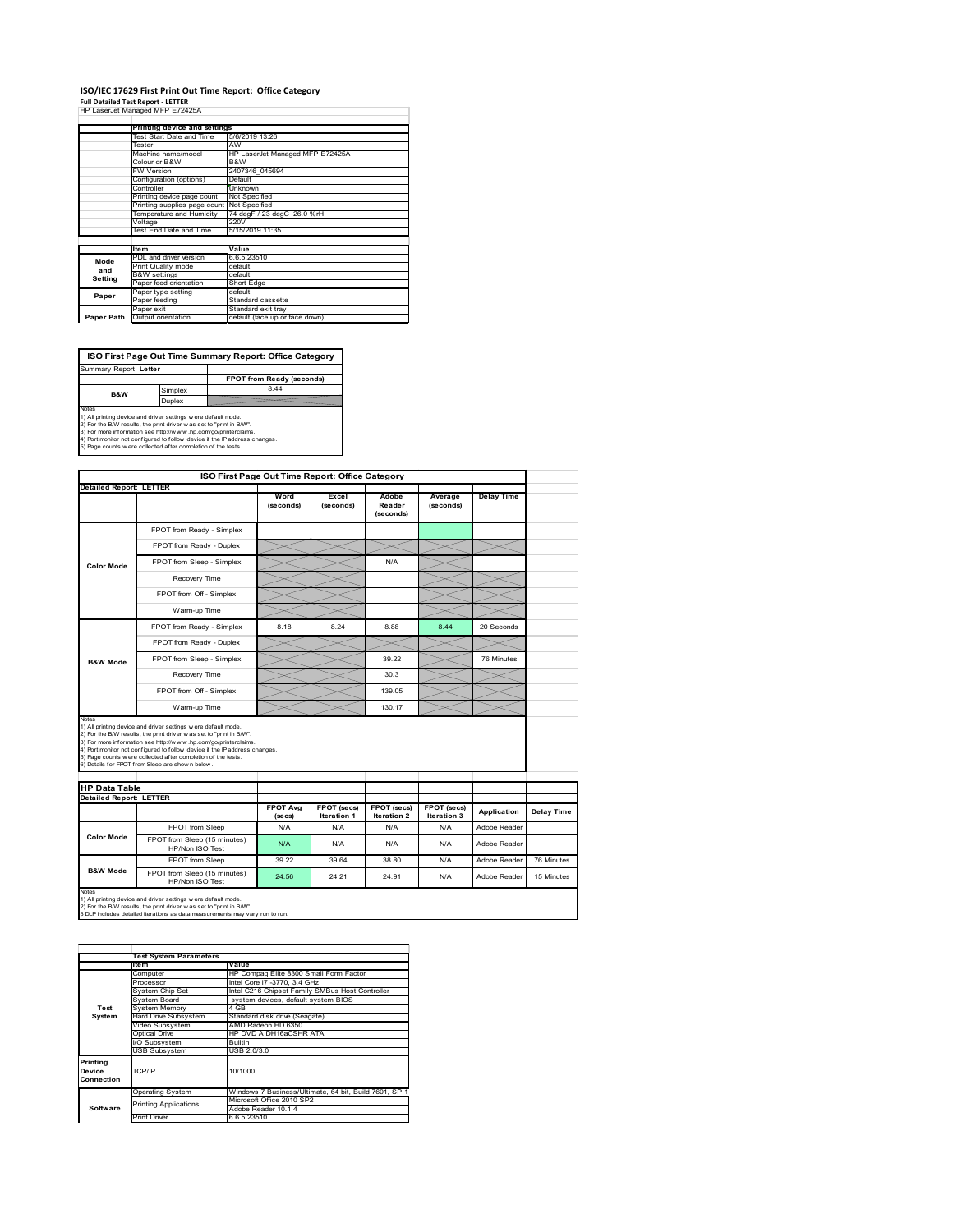## **ISO/IEC 17629 First Print Out Time Report: Office Category Full Detailed Test Report ‐ LETTER** HP LaserJet Managed MFP E72425A

|            | Printing device and settings               |                                 |  |  |  |  |
|------------|--------------------------------------------|---------------------------------|--|--|--|--|
|            | Test Start Date and Time                   | 5/6/2019 13:26                  |  |  |  |  |
|            | Tester                                     | AW                              |  |  |  |  |
|            | Machine name/model                         | HP LaserJet Managed MFP E72425A |  |  |  |  |
|            | Colour or B&W                              | B&W                             |  |  |  |  |
|            | <b>FW Version</b>                          | 2407346 045694                  |  |  |  |  |
|            | Configuration (options)                    | Default                         |  |  |  |  |
|            | Controller                                 | Unknown                         |  |  |  |  |
|            | Printing device page count                 | Not Specified                   |  |  |  |  |
|            | Printing supplies page count Not Specified |                                 |  |  |  |  |
|            | Temperature and Humidity                   | 74 degF / 23 degC 26.0 %rH      |  |  |  |  |
|            | Voltage                                    | 220V                            |  |  |  |  |
|            | Test End Date and Time                     | 5/15/2019 11:35                 |  |  |  |  |
|            |                                            |                                 |  |  |  |  |
|            | Item                                       | Value                           |  |  |  |  |
| Mode       | PDL and driver version                     | 6.6.5.23510                     |  |  |  |  |
| and        | Print Quality mode                         | default                         |  |  |  |  |
| Setting    | <b>B&amp;W</b> settings                    | default                         |  |  |  |  |
|            | Paper feed orientation                     | <b>Short Edge</b>               |  |  |  |  |
| Paper      | Paper type setting                         | default                         |  |  |  |  |
|            | Paper feeding                              | Standard cassette               |  |  |  |  |
|            | Paper exit                                 | Standard exit tray              |  |  |  |  |
| Paper Path | Output orientation                         | default (face up or face down)  |  |  |  |  |

**FPOT from Ready (seconds)**<br>Simplex 8.44 **ISO First Page Out Time Summary Report: Office Category** Summary Report: **Letter B&W**

**Duplex**<br>Notes<br>1) All printing device and driver settings were default mode.<br>2) For the BM results, the print driver was set to "print in BM".<br>4) For more information see http://www.hp.com/golprinterclaims.<br>4) Port monitor

|                                                        |                                                                                                                                                                                                                                                                                                                                                                                                             |                            |                            | ISO First Page Out Time Report: Office Category |                            |                   |            |
|--------------------------------------------------------|-------------------------------------------------------------------------------------------------------------------------------------------------------------------------------------------------------------------------------------------------------------------------------------------------------------------------------------------------------------------------------------------------------------|----------------------------|----------------------------|-------------------------------------------------|----------------------------|-------------------|------------|
| <b>Detailed Report: LETTER</b>                         |                                                                                                                                                                                                                                                                                                                                                                                                             | Word<br>(seconds)          | Excel<br>(seconds)         | Adobe<br>Reader<br>(seconds)                    | Average<br>(seconds)       | <b>Delay Time</b> |            |
|                                                        | FPOT from Ready - Simplex                                                                                                                                                                                                                                                                                                                                                                                   |                            |                            |                                                 |                            |                   |            |
|                                                        | FPOT from Ready - Duplex                                                                                                                                                                                                                                                                                                                                                                                    |                            |                            |                                                 |                            |                   |            |
| <b>Color Mode</b>                                      | FPOT from Sleep - Simplex                                                                                                                                                                                                                                                                                                                                                                                   |                            |                            | N/A                                             |                            |                   |            |
|                                                        | Recovery Time                                                                                                                                                                                                                                                                                                                                                                                               |                            |                            |                                                 |                            |                   |            |
|                                                        | FPOT from Off - Simplex                                                                                                                                                                                                                                                                                                                                                                                     |                            |                            |                                                 |                            |                   |            |
|                                                        | Warm-up Time                                                                                                                                                                                                                                                                                                                                                                                                |                            |                            |                                                 |                            |                   |            |
|                                                        | FPOT from Ready - Simplex                                                                                                                                                                                                                                                                                                                                                                                   | 8.18                       | 8 24                       | 8.88                                            | 8.44                       | 20 Seconds        |            |
|                                                        | FPOT from Ready - Duplex                                                                                                                                                                                                                                                                                                                                                                                    |                            |                            |                                                 |                            |                   |            |
| <b>B&amp;W Mode</b>                                    | FPOT from Sleep - Simplex                                                                                                                                                                                                                                                                                                                                                                                   |                            |                            | 39.22                                           |                            | 76 Minutes        |            |
|                                                        | Recovery Time                                                                                                                                                                                                                                                                                                                                                                                               |                            |                            | 30.3                                            |                            |                   |            |
|                                                        | FPOT from Off - Simplex                                                                                                                                                                                                                                                                                                                                                                                     |                            |                            | 139.05                                          |                            |                   |            |
|                                                        | Warm-up Time                                                                                                                                                                                                                                                                                                                                                                                                |                            |                            | 130.17                                          |                            |                   |            |
| Notes                                                  |                                                                                                                                                                                                                                                                                                                                                                                                             |                            |                            |                                                 |                            |                   |            |
|                                                        | 1) All printing device and driver settings w ere default mode.<br>2) For the B/W results, the print driver was set to "print in B/W".<br>3) For more information see http://www.hp.com/go/printerclaims.<br>4) Port monitor not configured to follow device if the IP address changes.<br>5) Page counts w ere collected after completion of the tests.<br>6) Details for FPOT from Sleep are show n below. |                            |                            |                                                 |                            |                   |            |
|                                                        |                                                                                                                                                                                                                                                                                                                                                                                                             |                            |                            |                                                 |                            |                   |            |
| <b>HP Data Table</b><br><b>Detailed Report: LETTER</b> |                                                                                                                                                                                                                                                                                                                                                                                                             | <b>FPOT Avg</b><br>(se cs) | FPOT (secs)<br>Iteration 1 | FPOT (secs)<br>Iteration 2                      | FPOT (secs)<br>Iteration 3 | Application       | Delay Time |
|                                                        | FPOT from Sleep                                                                                                                                                                                                                                                                                                                                                                                             | N/A                        | N/A                        | N/A                                             | N/A                        | Adobe Reader      |            |
| <b>Color Mode</b>                                      | FPOT from Sleep (15 minutes)<br>HP/Non ISO Test                                                                                                                                                                                                                                                                                                                                                             | N/A                        | N/A                        | N/A                                             | N/A                        | Adobe Reader      |            |
|                                                        | FPOT from Sleep                                                                                                                                                                                                                                                                                                                                                                                             | 39.22                      | 39.64                      | 38.80                                           | N/A                        | Adobe Reader      | 76 Minutes |

1) All printing device and driver settings w ere default mode.<br>2) For the B/W results, the print driver w as set to "print in B/W".<br>3 DLP includes detailed iterations as data measurements may vary run to run.

|            | <b>Test System Parameters</b> |                                                       |  |  |
|------------|-------------------------------|-------------------------------------------------------|--|--|
|            | <b>Item</b>                   | Value                                                 |  |  |
|            | Computer                      | HP Compaq Elite 8300 Small Form Factor                |  |  |
|            | Processor                     | Intel Core i7 -3770, 3.4 GHz                          |  |  |
|            | System Chip Set               | Intel C216 Chipset Family SMBus Host Controller       |  |  |
|            | System Board                  | system devices, default system BIOS                   |  |  |
| Test       | <b>System Memory</b>          | 4 GB                                                  |  |  |
| System     | Hard Drive Subsystem          | Standard disk drive (Seagate)                         |  |  |
|            | Video Subsystem               | AMD Radeon HD 6350                                    |  |  |
|            | Optical Drive                 | HP DVD A DH16aCSHR ATA                                |  |  |
|            | I/O Subsystem                 | <b>Builtin</b>                                        |  |  |
|            | <b>USB Subsystem</b>          | USB 2.0/3.0                                           |  |  |
| Printing   |                               |                                                       |  |  |
| Device     | TCP/IP                        | 10/1000                                               |  |  |
| Connection |                               |                                                       |  |  |
|            | <b>Operating System</b>       | Windows 7 Business/Ultimate, 64 bit, Build 7601, SP 1 |  |  |
|            | <b>Printing Applications</b>  | Microsoft Office 2010 SP2                             |  |  |
| Software   |                               | Adobe Reader 10.1.4                                   |  |  |
|            | Print Driver                  | 6.6.5.23510                                           |  |  |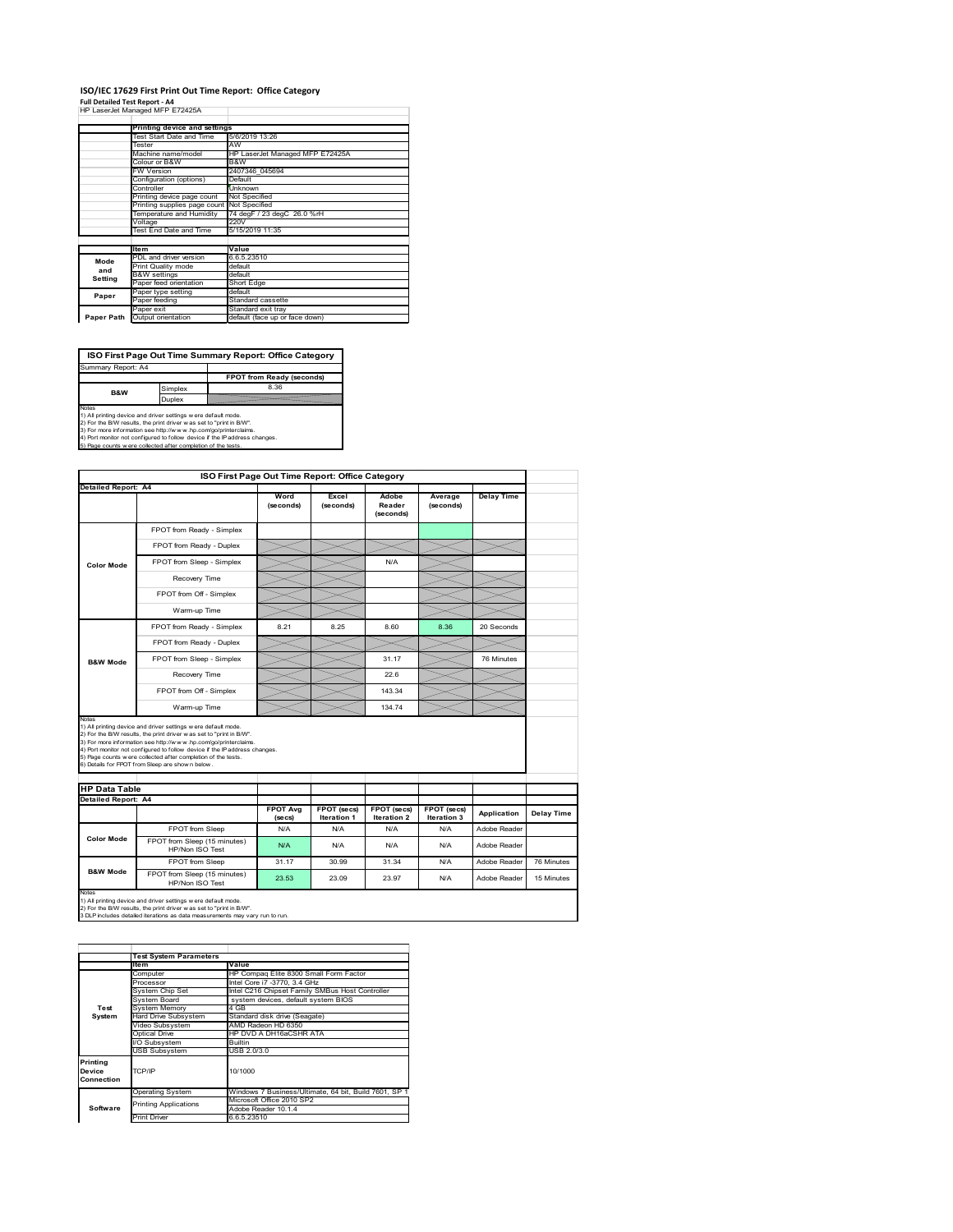### **ISO/IEC 17629 First Print Out Time Report: Office Category Full Detailed Test Report ‐ A4** HP LaserJet Managed MFP E72425A  $\overline{\phantom{a}}$

| HP LaserJet Managed MFP E72425A |  |  |
|---------------------------------|--|--|
|                                 |  |  |

|            | Printing device and settings |                                 |  |  |
|------------|------------------------------|---------------------------------|--|--|
|            | Test Start Date and Time     | 5/6/2019 13:26                  |  |  |
|            | Tester                       | AW                              |  |  |
|            | Machine name/model           | HP LaserJet Managed MFP E72425A |  |  |
|            | Colour or B&W                | B&W                             |  |  |
|            | <b>FW Version</b>            | 2407346 045694                  |  |  |
|            | Configuration (options)      | Default                         |  |  |
|            | Controller                   | Unknown                         |  |  |
|            | Printing device page count   | Not Specified                   |  |  |
|            | Printing supplies page count | Not Specified                   |  |  |
|            | Temperature and Humidity     | 74 degF / 23 degC 26.0 %rH      |  |  |
|            | Voltage                      | 220V                            |  |  |
|            | Test End Date and Time       | 5/15/2019 11:35                 |  |  |
|            |                              |                                 |  |  |
|            | <b>Item</b>                  | Value                           |  |  |
| Mode       | PDL and driver version       | 6.6.5.23510                     |  |  |
| and        | Print Quality mode           | default                         |  |  |
| Setting    | <b>B&amp;W</b> settings      | default                         |  |  |
|            | Paper feed orientation       | Short Edge                      |  |  |
| Paper      | Paper type setting           | default                         |  |  |
|            | Paper feeding                | Standard cassette               |  |  |
|            | Paper exit                   | Standard exit tray              |  |  |
| Paper Path | Output orientation           | default (face up or face down)  |  |  |

Ī.

**ISO First Page Out Time Summary Report: Office Category**

**FPOT from Ready (seconds)** Simplex 8.36 Duplex Notes<br>1) All printing device and driver settings were default mode.<br>2) For the BAV results, the print driver was set to "print in BAV".<br>3) For more information see http://www.hp.com/golprinterclaims.<br>4) Port monitor not co Summary Report: A4 **B&W**

|                                                                                                                                                                                                                                                                                                                                                                                                                                                                     | ISO First Page Out Time Report: Office Category |                            |                            |                              |                            |                   |            |
|---------------------------------------------------------------------------------------------------------------------------------------------------------------------------------------------------------------------------------------------------------------------------------------------------------------------------------------------------------------------------------------------------------------------------------------------------------------------|-------------------------------------------------|----------------------------|----------------------------|------------------------------|----------------------------|-------------------|------------|
| <b>Detailed Report: A4</b>                                                                                                                                                                                                                                                                                                                                                                                                                                          |                                                 | Word<br>(seconds)          | Excel<br>(seconds)         | Adobe<br>Reader<br>(seconds) | Average<br>(seconds)       | <b>Delay Time</b> |            |
|                                                                                                                                                                                                                                                                                                                                                                                                                                                                     | FPOT from Ready - Simplex                       |                            |                            |                              |                            |                   |            |
|                                                                                                                                                                                                                                                                                                                                                                                                                                                                     | FPOT from Ready - Duplex                        |                            |                            |                              |                            |                   |            |
| <b>Color Mode</b>                                                                                                                                                                                                                                                                                                                                                                                                                                                   | FPOT from Sleep - Simplex                       |                            |                            | N/A                          |                            |                   |            |
|                                                                                                                                                                                                                                                                                                                                                                                                                                                                     | Recovery Time                                   |                            |                            |                              |                            |                   |            |
|                                                                                                                                                                                                                                                                                                                                                                                                                                                                     | FPOT from Off - Simplex                         |                            |                            |                              |                            |                   |            |
|                                                                                                                                                                                                                                                                                                                                                                                                                                                                     | Warm-up Time                                    |                            |                            |                              |                            |                   |            |
|                                                                                                                                                                                                                                                                                                                                                                                                                                                                     | FPOT from Ready - Simplex                       | 8.21                       | 8.25                       | 8.60                         | 8.36                       | 20 Seconds        |            |
|                                                                                                                                                                                                                                                                                                                                                                                                                                                                     | FPOT from Ready - Duplex                        |                            |                            |                              |                            |                   |            |
| <b>B&amp;W Mode</b>                                                                                                                                                                                                                                                                                                                                                                                                                                                 | FPOT from Sleep - Simplex                       |                            |                            | 31.17                        |                            | 76 Minutes        |            |
|                                                                                                                                                                                                                                                                                                                                                                                                                                                                     | Recovery Time                                   |                            |                            | 226                          |                            |                   |            |
|                                                                                                                                                                                                                                                                                                                                                                                                                                                                     | FPOT from Off - Simplex                         |                            |                            | 143.34                       |                            |                   |            |
|                                                                                                                                                                                                                                                                                                                                                                                                                                                                     | Warm-up Time                                    |                            |                            | 134.74                       |                            |                   |            |
| Notes<br>1) All printing device and driver settings w ere default mode.<br>2) For the B/W results, the print driver was set to "print in B/W".<br>3) For more information see http://www.hp.com/go/printerclaims.<br>4) Port monitor not configured to follow device if the IP address changes.<br>5) Page counts w ere collected after completion of the tests.<br>6) Details for FPOT from Sleep are show n below.<br><b>HP Data Table</b><br>Detailed Report: A4 |                                                 |                            |                            |                              |                            |                   |            |
|                                                                                                                                                                                                                                                                                                                                                                                                                                                                     |                                                 |                            |                            |                              |                            |                   |            |
|                                                                                                                                                                                                                                                                                                                                                                                                                                                                     |                                                 | <b>FPOT Avg</b><br>(se cs) | FPOT (secs)<br>Iteration 1 | FPOT (secs)<br>Iteration 2   | FPOT (secs)<br>Iteration 3 | Application       | Delay Time |
|                                                                                                                                                                                                                                                                                                                                                                                                                                                                     | FPOT from Sleep                                 | N/A                        | N/A                        | N/A                          | N/A                        | Adobe Reader      |            |
| <b>Color Mode</b>                                                                                                                                                                                                                                                                                                                                                                                                                                                   | FPOT from Sleep (15 minutes)<br>HP/Non ISO Test | N/A                        | N/A                        | N/A                          | N/A                        | Adobe Reader      |            |
| <b>B&amp;W Mode</b>                                                                                                                                                                                                                                                                                                                                                                                                                                                 | FPOT from Sleep                                 | 31.17                      | 30.99                      | 31.34                        | N/A                        | Adobe Reader      | 76 Minutes |

|                                  | <b>Test System Parameters</b> |                                                       |
|----------------------------------|-------------------------------|-------------------------------------------------------|
|                                  | ltem                          | Value                                                 |
|                                  | Computer                      | HP Compag Elite 8300 Small Form Factor                |
|                                  | Processor                     | Intel Core i7 -3770, 3.4 GHz                          |
|                                  | System Chip Set               | Intel C216 Chipset Family SMBus Host Controller       |
|                                  | System Board                  | system devices, default system BIOS                   |
| Test                             | <b>System Memory</b>          | 4 GB                                                  |
| System                           | <b>Hard Drive Subsystem</b>   | Standard disk drive (Seagate)                         |
|                                  | Video Subsystem               | AMD Radeon HD 6350                                    |
|                                  | Optical Drive                 | HP DVD A DH16aCSHR ATA                                |
|                                  | I/O Subsystem                 | <b>Builtin</b>                                        |
|                                  | <b>USB Subsystem</b>          | USB 2.0/3.0                                           |
| Printing<br>Device<br>Connection | TCP/IP                        | 10/1000                                               |
|                                  | <b>Operating System</b>       | Windows 7 Business/Ultimate, 64 bit, Build 7601, SP 1 |
|                                  | <b>Printing Applications</b>  | Microsoft Office 2010 SP2                             |
| Software                         |                               | Adobe Reader 10.1.4                                   |
|                                  | <b>Print Driver</b>           | 6.6.5.23510                                           |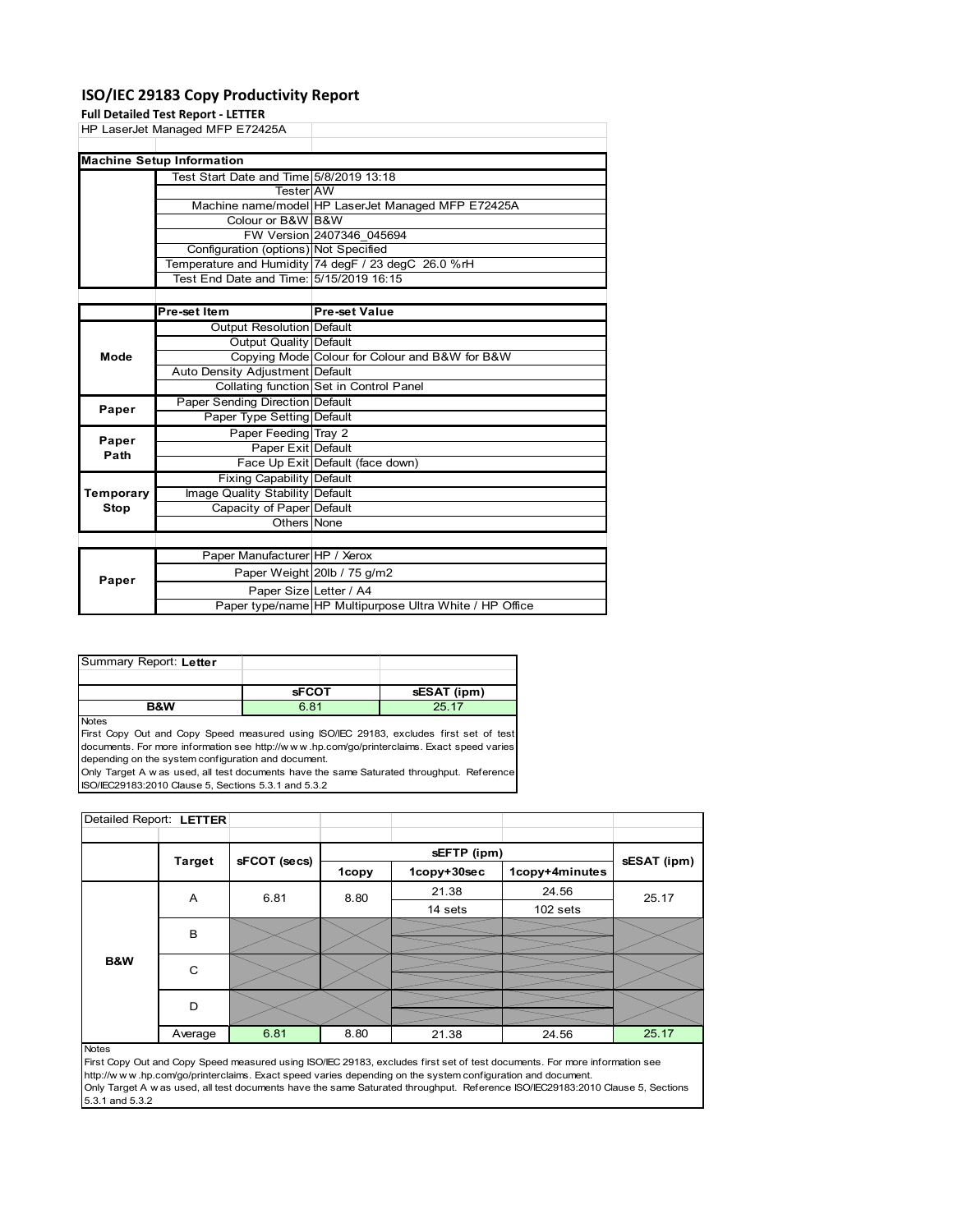# **ISO/IEC 29183 Copy Productivity Report**

|             | <b>Full Detailed Test Report - LETTER</b> |                                                     |  |  |  |
|-------------|-------------------------------------------|-----------------------------------------------------|--|--|--|
|             | HP LaserJet Managed MFP E72425A           |                                                     |  |  |  |
|             |                                           |                                                     |  |  |  |
|             | <b>Machine Setup Information</b>          |                                                     |  |  |  |
|             | Test Start Date and Time 5/8/2019 13:18   |                                                     |  |  |  |
|             | <b>Tester</b> AW                          |                                                     |  |  |  |
|             |                                           | Machine name/model HP LaserJet Managed MFP E72425A  |  |  |  |
|             | Colour or B&W B&W                         |                                                     |  |  |  |
|             |                                           | FW Version 2407346 045694                           |  |  |  |
|             | Configuration (options) Not Specified     |                                                     |  |  |  |
|             |                                           | Temperature and Humidity 74 degF / 23 degC 26.0 %rH |  |  |  |
|             | Test End Date and Time: 5/15/2019 16:15   |                                                     |  |  |  |
|             |                                           |                                                     |  |  |  |
|             | Pre-set Item                              | <b>Pre-set Value</b>                                |  |  |  |
|             | Output Resolution Default                 |                                                     |  |  |  |
|             | <b>Output Quality Default</b>             |                                                     |  |  |  |
| Mode        |                                           | Copying Mode Colour for Colour and B&W for B&W      |  |  |  |
|             | Auto Density Adjustment Default           |                                                     |  |  |  |
|             |                                           | Collating function Set in Control Panel             |  |  |  |
| Paper       | Paper Sending Direction Default           |                                                     |  |  |  |
|             | Paper Type Setting Default                |                                                     |  |  |  |
| Paper       | Paper Feeding Tray 2                      |                                                     |  |  |  |
| Path        | Paper Exit Default                        |                                                     |  |  |  |
|             |                                           | Face Up Exit Default (face down)                    |  |  |  |
|             | Fixing Capability Default                 |                                                     |  |  |  |
| Temporary   | Image Quality Stability Default           |                                                     |  |  |  |
| <b>Stop</b> | Capacity of Paper Default                 |                                                     |  |  |  |
|             | Others None                               |                                                     |  |  |  |
|             |                                           |                                                     |  |  |  |
|             | Paper Manufacturer HP / Xerox             |                                                     |  |  |  |
| Danor       |                                           | Paper Weight 20lb / 75 g/m2                         |  |  |  |

| Paper |                        | Paper Weight 20lb / 75 g/m2                             |
|-------|------------------------|---------------------------------------------------------|
|       | Paper SizelLetter / A4 |                                                         |
|       |                        | Paper type/name HP Multipurpose Ultra White / HP Office |
|       |                        |                                                         |

| Summary Report: Letter |              |             |
|------------------------|--------------|-------------|
|                        |              |             |
|                        | <b>SFCOT</b> | sESAT (ipm) |
| <b>R&amp;W</b>         | 6.81         | 25 17       |

Notes

First Copy Out and Copy Speed measured using ISO/IEC 29183, excludes first set of test documents. For more information see http://w w w .hp.com/go/printerclaims. Exact speed varies depending on the system configuration and document.

Only Target A w as used, all test documents have the same Saturated throughput. Reference ISO/IEC29183:2010 Clause 5, Sections 5.3.1 and 5.3.2

| Detailed Report: LETTER |               |              |       |             |                |             |
|-------------------------|---------------|--------------|-------|-------------|----------------|-------------|
|                         |               |              |       |             |                |             |
|                         | <b>Target</b> | sFCOT (secs) |       | sEFTP (ipm) |                | sESAT (ipm) |
|                         |               |              | 1copy | 1copy+30sec | 1copy+4minutes |             |
|                         | A             | 6.81         | 8.80  | 21.38       | 24.56          | 25.17       |
|                         |               |              |       | 14 sets     | 102 sets       |             |
|                         |               | B            |       |             |                |             |
|                         |               |              |       |             |                |             |
| <b>B&amp;W</b>          | C             |              |       |             |                |             |
|                         |               |              |       |             |                |             |
|                         | D             |              |       |             |                |             |
|                         |               |              |       |             |                |             |
|                         | Average       | 6.81         | 8.80  | 21.38       | 24.56          | 25.17       |
| <b>Notes</b>            |               |              |       |             |                |             |

First Copy Out and Copy Speed measured using ISO/IEC 29183, excludes first set of test documents. For more information see http://w w w .hp.com/go/printerclaims. Exact speed varies depending on the system configuration and document. Only Target A w as used, all test documents have the same Saturated throughput. Reference ISO/IEC29183:2010 Clause 5, Sections 5.3.1 and 5.3.2